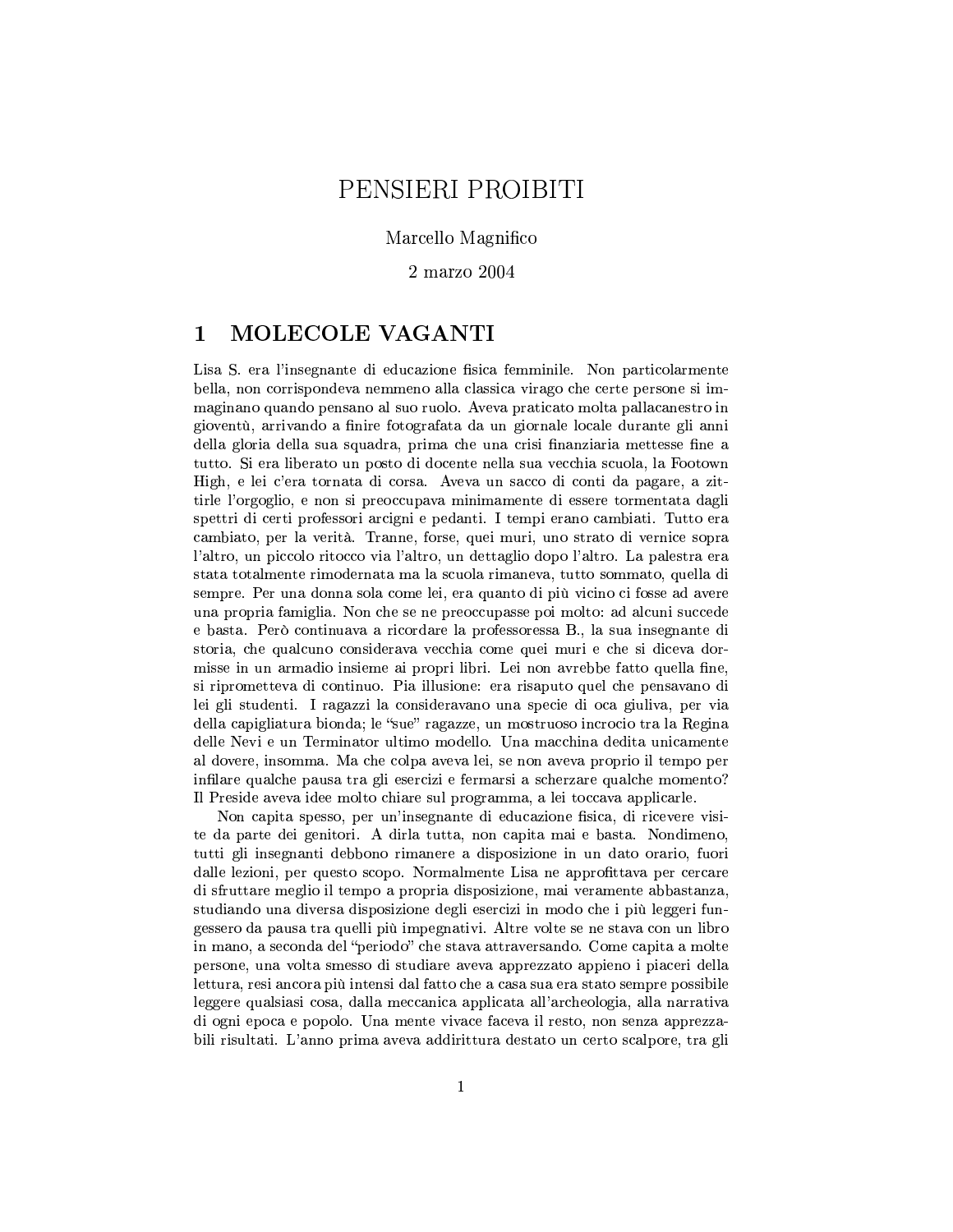# PENSIERI PROIBITI

## Marcello Magnifico

 $2 \text{ marzo } 2004$ 

#### MOLECOLE VAGANTI  $\mathbf 1$

Lisa S. era l'insegnante di educazione fisica femminile. Non particolarmente bella, non corrispondeva nemmeno alla classica virago che certe persone si immaginano quando pensano al suo ruolo. Aveva praticato molta pallacanestro in gioventù, arrivando a finire fotografata da un giornale locale durante gli anni della gloria della sua squadra, prima che una crisi finanziaria mettesse fine a tutto. Si era liberato un posto di docente nella sua vecchia scuola, la Footown High, e lei c'era tornata di corsa. Aveva un sacco di conti da pagare, a zittirle l'orgoglio, e non si preoccupava minimamente di essere tormentata dagli spettri di certi professori arcigni e pedanti. I tempi erano cambiati. Tutto era cambiato, per la verità. Tranne, forse, quei muri, uno strato di vernice sopra l'altro, un piccolo ritocco via l'altro, un dettaglio dopo l'altro. La palestra era stata totalmente rimodernata ma la scuola rimaneva, tutto sommato, quella di sempre. Per una donna sola come lei, era quanto di più vicino ci fosse ad avere una propria famiglia. Non che se ne preoccupasse poi molto: ad alcuni succede e basta. Però continuava a ricordare la professoressa B., la sua insegnante di storia, che qualcuno considerava vecchia come quei muri e che si diceva dormisse in un armadio insieme ai propri libri. Lei non avrebbe fatto quella fine, si riprometteva di continuo. Pia illusione: era risaputo quel che pensavano di lei gli studenti. I ragazzi la consideravano una specie di oca giuliva, per via della capigliatura bionda; le "sue" ragazze, un mostruoso incrocio tra la Regina delle Nevi e un Terminator ultimo modello. Una macchina dedita unicamente al dovere, insomma. Ma che colpa aveva lei, se non aveva proprio il tempo per infilare qualche pausa tra gli esercizi e fermarsi a scherzare qualche momento? Il Preside aveva idee molto chiare sul programma, a lei toccava applicarle.

Non capita spesso, per un'insegnante di educazione fisica, di ricevere visite da parte dei genitori. A dirla tutta, non capita mai e basta. Nondimeno, tutti gli insegnanti debbono rimanere a disposizione in un dato orario, fuori dalle lezioni, per questo scopo. Normalmente Lisa ne approfittava per cercare di sfruttare meglio il tempo a propria disposizione, mai veramente abbastanza, studiando una diversa disposizione degli esercizi in modo che i più leggeri fungessero da pausa tra quelli più impegnativi. Altre volte se ne stava con un libro in mano, a seconda del "periodo" che stava attraversando. Come capita a molte persone, una volta smesso di studiare aveva apprezzato appieno i piaceri della lettura, resi ancora più intensi dal fatto che a casa sua era stato sempre possibile leggere qualsiasi cosa, dalla meccanica applicata all'archeologia, alla narrativa di ogni epoca e popolo. Una mente vivace faceva il resto, non senza apprezzabili risultati. L'anno prima aveva addirittura destato un certo scalpore, tra gli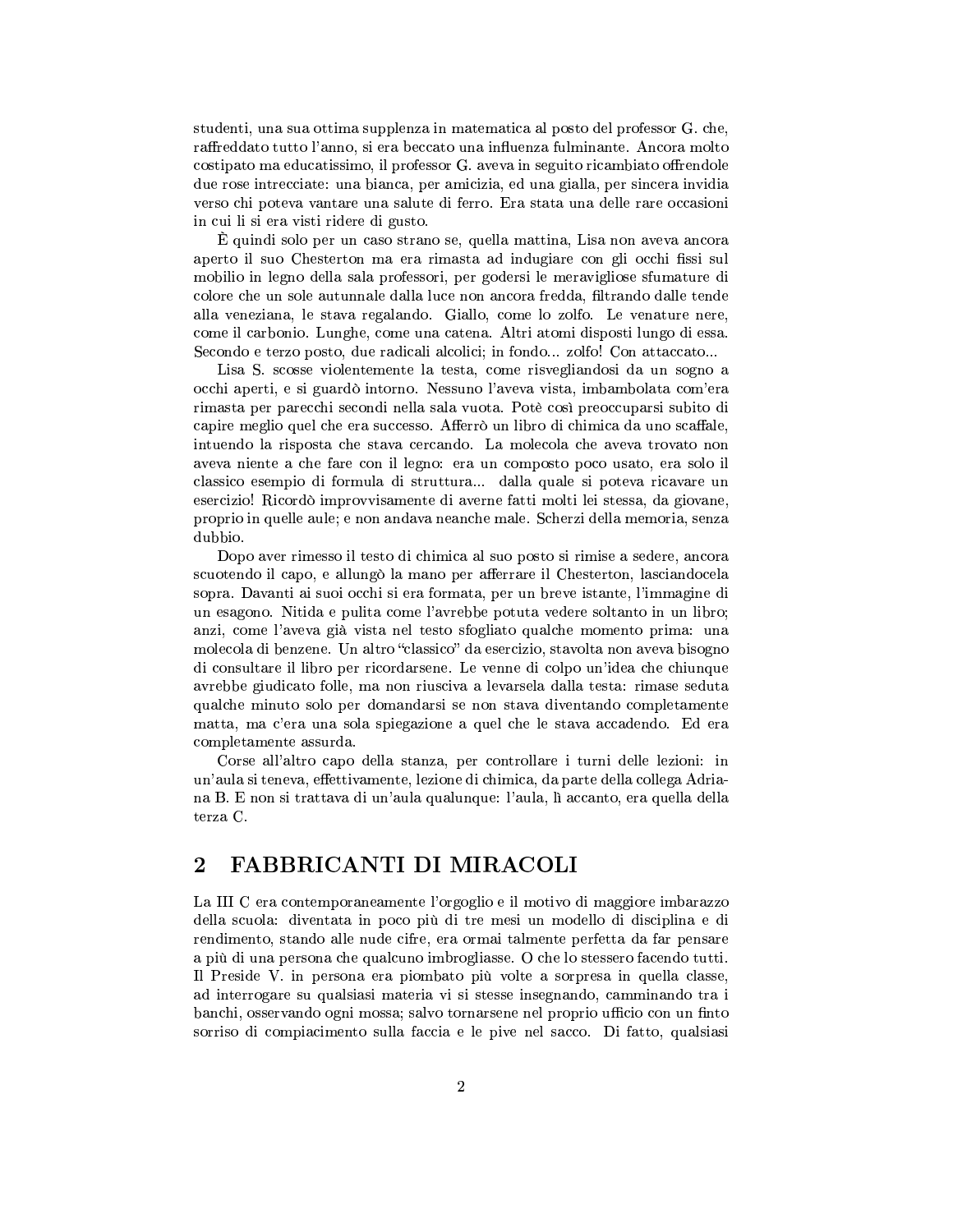studenti, una sua ottima supplenza in matematica al posto del professor G. che, raffreddato tutto l'anno, si era beccato una influenza fulminante. Ancora molto costipato ma educatissimo, il professor G. aveva in seguito ricambiato offrendole due rose intrecciate: una bianca, per amicizia, ed una gialla, per sincera invidia verso chi poteva vantare una salute di ferro. Era stata una delle rare occasioni in cui li si era visti ridere di gusto.

 $\Delta$  and the KML-bos substitution of the KML-bos distribution of the KML-bos distribution  $\Delta$ aperto il suo Chesterton ma era rimasta ad indugiare con gli occhi fissi sul mobilio in legno della sala professori, per godersi le meravigliose sfumature di colore che un sole autunnale dalla luce non ancora fredda, filtrando dalle tende alla veneziana, le stava regalando. Giallo, come lo zolfo. Le venature nere, come il carbonio. Lunghe, come una catena. Altri atomi disposti lungo di essa. Secondo e terzo posto, due radicali alcolici; in fondo... zolfo! Con attaccato...

Lisa S. scosse violentemente la testa, come risvegliandosi da un sogno a occhi aperti, e si guardò intorno. Nessuno l'aveva vista, imbambolata com'era rimasta per parecchi secondi nella sala vuota. Potè così preoccuparsi subito di capire meglio quel che era successo. Afferrò un libro di chimica da uno scaffale, intuendo la risposta che stava cercando. La molecola che aveva trovato non aveva niente a che fare con il legno: era un composto poco usato, era solo il classico esempio di formula di struttura... dalla quale si poteva ricavare un esercizio! Ricordò improvvisamente di averne fatti molti lei stessa, da giovane, proprio in quelle aule; e non andava neanche male. Scherzi della memoria, senza dubbio.

Dopo aver rimesso il testo di chimica al suo posto si rimise a sedere, ancora  $scuotendo il capo, e allungò la mano per afferrare il Chesterton, lasciandocela$ sopra. Davanti ai suoi occhi si era formata, per un breve istante, l'immagine di un esagono. Nitida e pulita come l'avrebbe potuta vedere soltanto in un libro; anzi, come l'aveva già vista nel testo sfogliato qualche momento prima: una molecola di benzene. Un altro "classico" da esercizio, stavolta non aveva bisogno di consultare il libro per ricordarsene. Le venne di colpo un'idea che chiunque avrebbe giudicato folle, ma non riusciva a levarsela dalla testa: rimase seduta qualche minuto solo per domandarsi se non stava diventando completamente matta, ma c'era una sola spiegazione a quel che le stava accadendo. Ed era completamente assurda.

Corse all'altro capo della stanza, per controllare i turni delle lezioni: in un'aula si teneva, effettivamente, lezione di chimica, da parte della collega Adriana B. E non si trattava di un'aula qualunque: l'aula, lì accanto, era quella della terza C.

## <sup>¼</sup> ½;¾-¾-¿ÀA7;>@?8A9ÁA-2ÂA%¿À;79354QA

La III C era contemporaneamente l'orgoglio e il motivo di maggiore imbarazzo della scuola: diventata in poco più di tre mesi un modello di disciplina e di rendimento, stando alle nude cifre, era ormai talmente perfetta da far pensare a più di una persona che qualcuno imbrogliasse. O che lo stessero facendo tutti. Il Preside V. in persona era piombato più volte a sorpresa in quella classe, ad interrogare su qualsiasi materia vi si stesse insegnando, camminando tra i banchi, osservando ogni mossa; salvo tornarsene nel proprio ufficio con un finto sorriso di compiacimento sulla faccia e le pive nel sacco. Di fatto, qualsiasi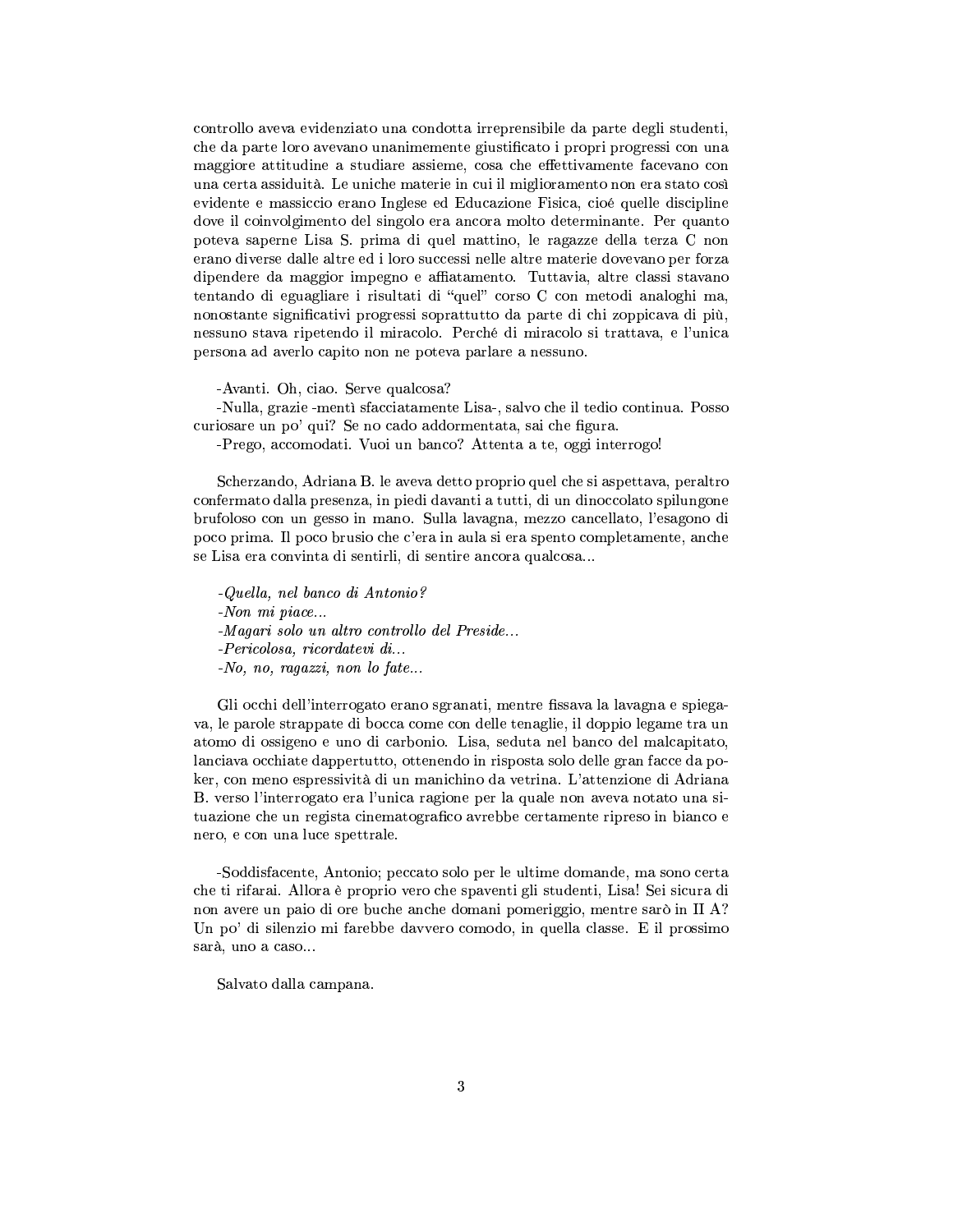controllo aveva evidenziato una condotta irreprensibile da parte degli studenti, che da parte loro avevano unanimemente giustificato i propri progressi con una maggiore attitudine a studiare assieme, cosa che effettivamente facevano con  $\overline{\text{S}}$ una certa assiduità. Le uniche materie in cui il miglioramento non era stato così. evidente e massiccio erano Inglese ed Educazione Fisica, cioé quelle discipline dove il coinvolgimento del singolo era ancora molto determinante. Per quanto poteva saperne Lisa S. prima di quel mattino, le ragazze della terza C non erano diverse dalle altre ed i loro successi nelle altre materie dovevano per forza dipendere da maggior impegno e affiatamento. Tuttavia, altre classi stavano tentando di eguagliare i risultati di "quel" corso C con metodi analoghi ma, nonostante significativi progressi soprattutto da parte di chi zoppicava di più, nessuno stava ripetendo il miracolo. Perché di miracolo si trattava, e l'unica persona ad averlo capito non ne poteva parlare a nessuno.

 $-$ Ayanti. Oh, ciao. Serve qualcosa?

-Nulla, grazie -mentì sfacciatamente Lisa-, salvo che il tedio continua. Posso. curiosare un po' qui? Se no cado addormentata, sai che figura.

-Prego, accomodati. Vuoi un banco? Attenta a te, oggi interrogo!

Scherzando, Adriana B. le aveva detto proprio quel che si aspettava, peraltro confermato dalla presenza, in piedi davanti a tutti, di un dinoccolato spilungone brufoloso con un gesso in mano. Sulla lavagna, mezzo cancellato, l'esagono di poco prima. Il poco brusio che c'era in aula si era spento completamente, anche se Lisa era convinta di sentirli, di sentire ancora qualcosa...

 $-Quella$ , nel banco di Antonio?  $\sim$ Non mi piace... -Magari solo un altro controllo del Preside...  $-Pericolosa$ , ricordatevi di...  $N_o$ , no, ragazzi, non lo fate...

Gli occhi dell'interrogato erano sgranati, mentre fissava la lavagna e spiegava, le parole strappate di bocca come con delle tenaglie, il doppio legame tra un atomo di ossigeno e uno di carbonio. Lisa, seduta nel banco del malcapitato, lanciava occhiate dappertutto, ottenendo in risposta solo delle gran facce da poker, con meno espressività di un manichino da vetrina. L'attenzione di Adriana B. verso l'interrogato era l'unica ragione per la quale non aveva notato una situazione che un regista cinematografico avrebbe certamente ripreso in bianco e nero, e con una luce spettrale.

-Soddisfacente, Antonio; peccato solo per le ultime domande, ma sono certa che ti rifarai. Allora è proprio vero che spaventi gli studenti, Lisa! Sei sicura di non avere un paio di ore buche anche domani pomeriggio, mentre sarò in  $II \, \Lambda$ ? Un po' di silenzio mi farebbe davvero comodo, in quella classe. E il prossimo sarà, uno a caso...

Salvato dalla campana.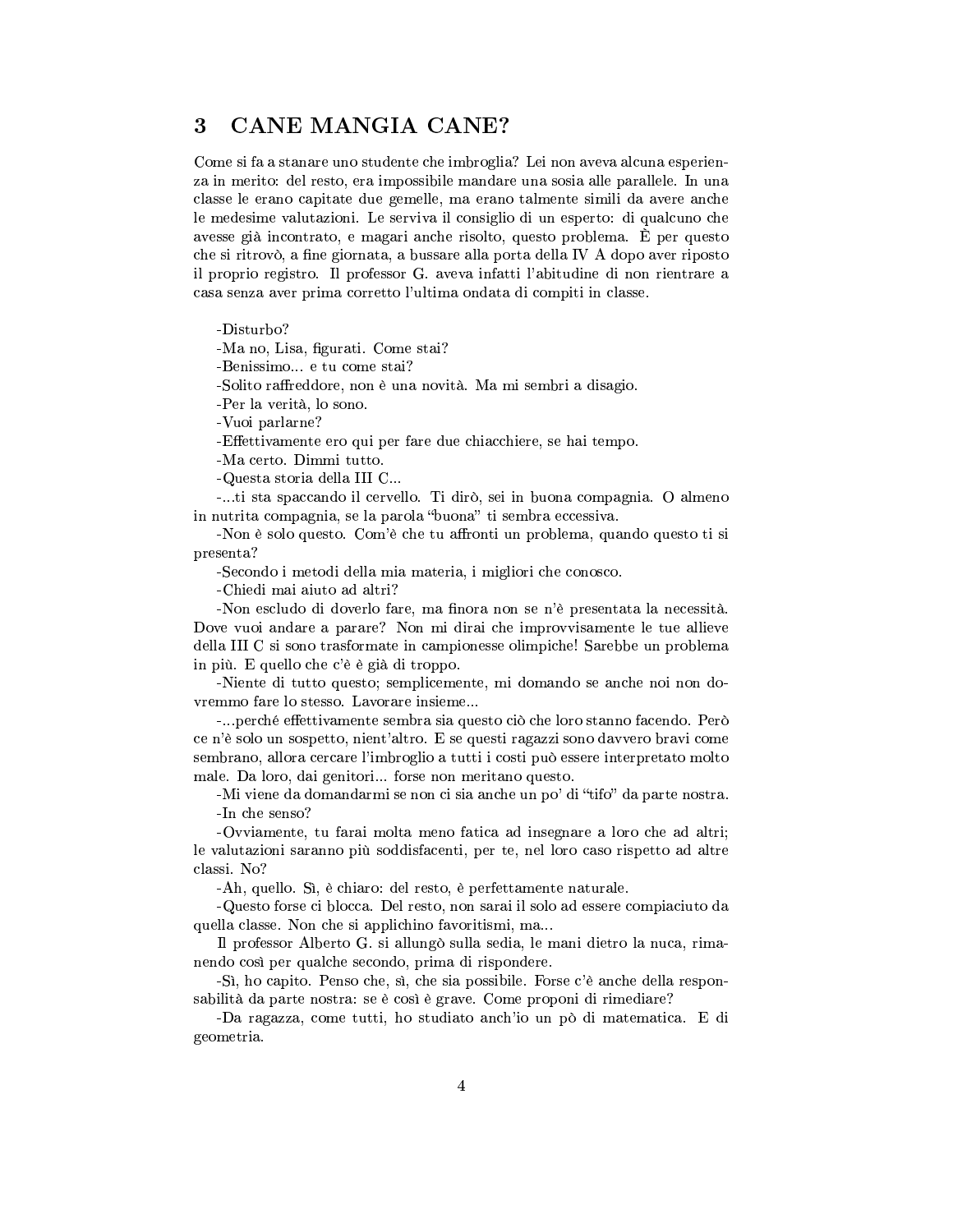#### CANE MANGIA CANE? 3

Come si fa a stanare uno studente che imbroglia? Lei non aveva alcuna esperienza in merito: del resto, era impossibile mandare una sosia alle parallele. In una classe le erano capitate due gemelle, ma erano talmente simili da avere anche le medesime valutazioni. Le serviva il consiglio di un esperto: di qualcuno che avesse già incontrato, e magari anche risolto, questo problema. E per questo che si ritrovò, a fine giornata, a bussare alla porta della IV A dopo aver riposto il proprio registro. Il professor G. aveva infatti l'abitudine di non rientrare a casa senza aver prima corretto l'ultima ondata di compiti in classe.

-Disturbo?

-Ma no, Lisa, figurati. Come stai?

-Benissimo... e tu come stai?

-Solito raffreddore, non è una novità. Ma mi sembri a disagio.

-Per la verità, lo sono.

-Vuoi parlarne?

-Effettivamente ero qui per fare due chiacchiere, se hai tempo.

-Ma certo. Dimmi tutto.

-Questa storia della III C...

-...ti sta spaccando il cervello. Ti dirò, sei in buona compagnia. O almeno in nutrita compagnia, se la parola "buona" ti sembra eccessiva.

-Non è solo questo. Com'è che tu affronti un problema, quando questo ti si presenta?

-Secondo i metodi della mia materia, i migliori che conosco.

-Chiedi mai aiuto ad altri?

-Non escludo di doverlo fare, ma finora non se n'è presentata la necessità. Dove vuoi andare a parare? Non mi dirai che improvvisamente le tue allieve della III C si sono trasformate in campionesse olimpiche! Sarebbe un problema in più. E quello che c'è è già di troppo.

-Niente di tutto questo; semplicemente, mi domando se anche noi non dovremmo fare lo stesso. Lavorare insieme...

-...perché effettivamente sembra sia questo ciò che loro stanno facendo. Però ce n'è solo un sospetto, nient'altro. E se questi ragazzi sono davvero bravi come sembrano, allora cercare l'imbroglio a tutti i costi può essere interpretato molto male. Da loro, dai genitori... forse non meritano questo.

-Mi viene da domandarmi se non ci sia anche un po' di "tifo" da parte nostra. -In che senso?

-Ovviamente, tu farai molta meno fatica ad insegnare a loro che ad altri: le valutazioni saranno più soddisfacenti, per te, nel loro caso rispetto ad altre classi. No?

-Ah, quello. Sì, è chiaro: del resto, è perfettamente naturale.

-Questo forse ci blocca. Del resto, non sarai il solo ad essere compiaciuto da quella classe. Non che si applichino favoritismi, ma...

Il professor Alberto G. si allungò sulla sedia, le mani dietro la nuca, rimanendo così per qualche secondo, prima di rispondere.

-Si, ho capito. Penso che, sì, che sia possibile. Forse c'è anche della responsabilità da parte nostra: se è così è grave. Come proponi di rimediare?

-Da ragazza, come tutti, ho studiato anch'io un pò di matematica. E di geometria.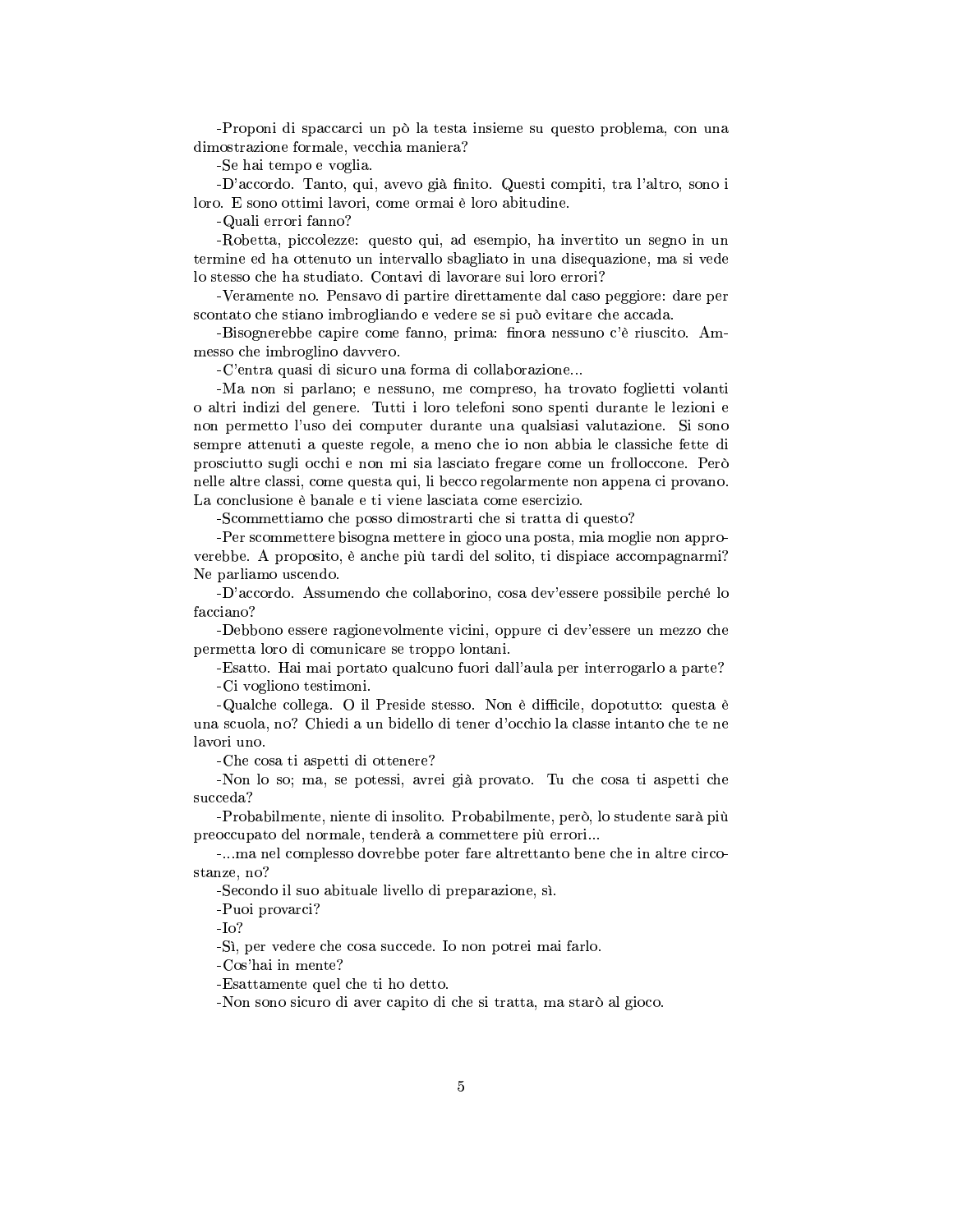-Proponi di spaccarci un pò la testa insieme su questo problema, con una dimostrazione formale, vecchia maniera?

-Se hai tempo e voglia.

-D'accordo. Tanto, qui, avevo già finito. Questi compiti, tra l'altro, sono i loro. E sono ottimi lavori, come ormai è loro abitudine.

-Quali errori fanno?

-Robetta, piccolezze: questo qui, ad esempio, ha invertito un segno in un termine ed ha ottenuto un intervallo sbagliato in una diseguazione, ma si vede lo stesso che ha studiato. Contavi di lavorare sui loro errori?

-Veramente no. Pensavo di partire direttamente dal caso peggiore: dare per scontato che stiano imbrogliando e vedere se si può evitare che accada.

-Bisognerebbe capire come fanno, prima: finora nessuno c'è riuscito. Ammesso che imbroglino davvero.

-C'entra quasi di sicuro una forma di collaborazione...

-Ma non si parlano; e nessuno, me compreso, ha trovato foglietti volanti o altri indizi del genere. Tutti i loro telefoni sono spenti durante le lezioni e non permetto l'uso dei computer durante una qualsiasi valutazione. Si sono sempre attenuti a queste regole, a meno che io non abbia le classiche fette di prosciutto sugli occhi e non mi sia lasciato fregare come un frolloccone. Però nelle altre classi, come questa qui, li becco regolarmente non appena ci provano. La conclusione è banale e ti viene lasciata come esercizio.

-Scommettiamo che posso dimostrarti che si tratta di questo?

-Per scommettere bisogna mettere in gioco una posta, mia moglie non approverebbe. A proposito, è anche più tardi del solito, ti dispiace accompagnarmi? Ne parliamo uscendo.

-D'accordo. Assumendo che collaborino, cosa dev'essere possibile perché lo facciano?

-Debbono essere ragionevolmente vicini, oppure ci dev'essere un mezzo che permetta loro di comunicare se troppo lontani.

-Esatto. Hai mai portato qualcuno fuori dall'aula per interrogarlo a parte? -Ci vogliono testimoni.

-Qualche collega. O il Preside stesso. Non è difficile, dopotutto: questa è una scuola, no? Chiedi a un bidello di tener d'occhio la classe intanto che te ne lavori uno.

-Che cosa ti aspetti di ottenere?

-Non lo so; ma, se potessi, avrei già provato. Tu che cosa ti aspetti che succeda?

-Probabilmente, niente di insolito. Probabilmente, però, lo studente sarà più preoccupato del normale, tenderà a commettere più errori...

...ma nel complesso dovrebbe poter fare altrettanto bene che in altre circostanze, no?

-Secondo il suo abituale livello di preparazione, sì.

-Puoi provarci?

 $-I<sub>O</sub>$ ?

-Si, per vedere che cosa succede. Io non potrei mai farlo.

-Cos'hai in mente?

-Esattamente quel che ti ho detto.

-Non sono sicuro di aver capito di che si tratta, ma starò al gioco.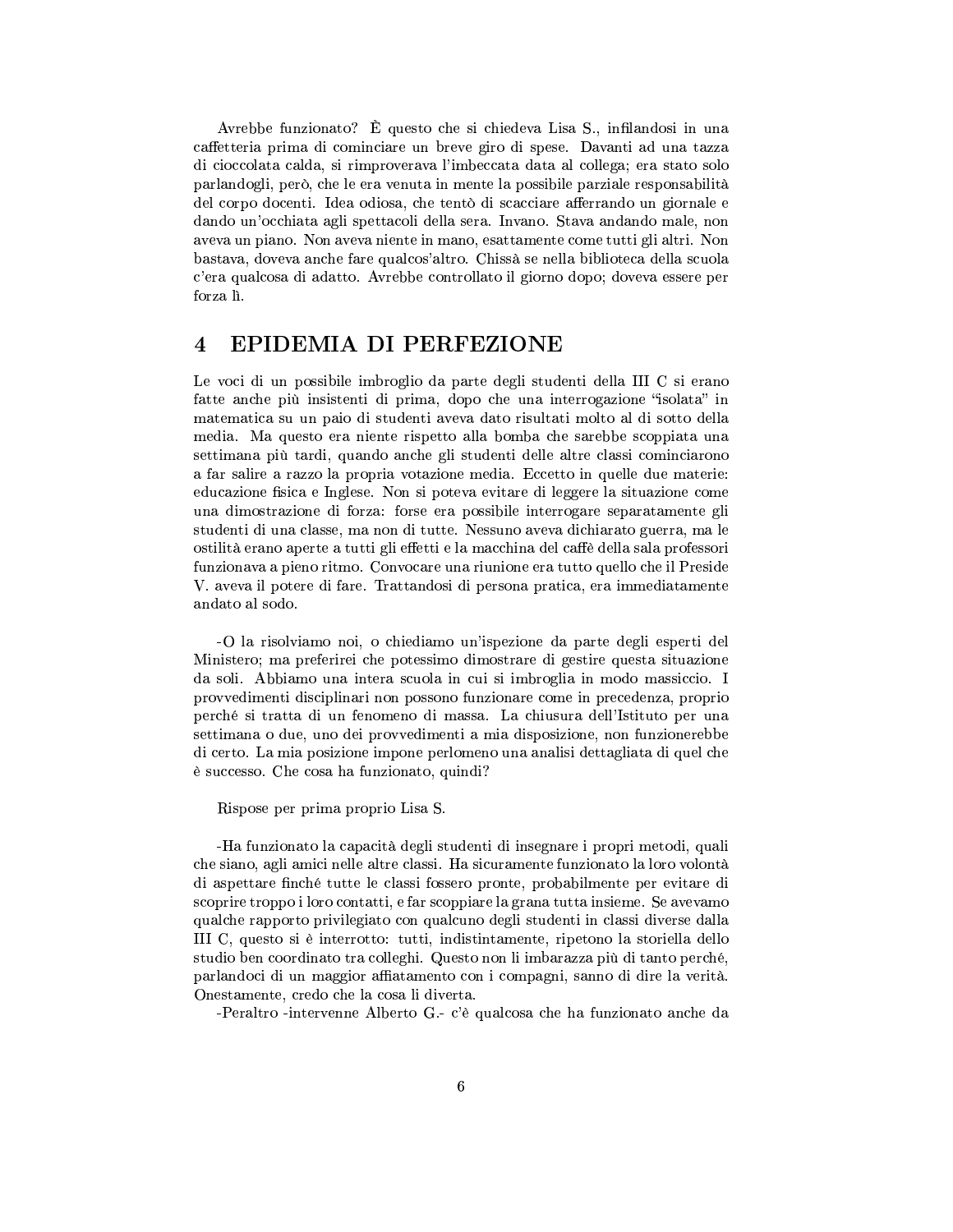Avrebbe funzionato? È questo che si chiedeva Lisa S., infilandosi in una caffetteria prima di cominciare un breve giro di spese. Davanti ad una tazza di cioccolata calda, si rimproverava l'imbeccata data al collega; era stato solo parlandogli, però, che le era venuta in mente la possibile parziale responsabilità del corpo docenti. Idea odiosa, che tentò di scacciare afferrando un giornale e dando un'occhiata agli spettacoli della sera. Invano. Stava andando male, non aveva un piano. Non aveva niente in mano, esattamente come tutti gli altri. Non bastava, doveva anche fare qualcos'altro. Chissà se nella biblioteca della scuola c'era qualcosa di adatto. Avrebbe controllato il giorno dopo; doveva essere per forza lì.

#### $\overline{\mathbf{4}}$ **EPIDEMIA DI PERFEZIONE**

Le voci di un possibile imbroglio da parte degli studenti della III C si erano fatte anche più insistenti di prima, dopo che una interrogazione "isolata" in matematica su un paio di studenti aveva dato risultati molto al di sotto della media. Ma questo era niente rispetto alla bomba che sarebbe scoppiata una settimana più tardi, quando anche gli studenti delle altre classi cominciarono a far salire a razzo la propria votazione media. Eccetto in quelle due materie: educazione fisica e Inglese. Non si poteva evitare di leggere la situazione come una dimostrazione di forza: forse era possibile interrogare separatamente gli studenti di una classe, ma non di tutte. Nessuno aveva dichiarato guerra, ma le ostilità erano aperte a tutti gli effetti e la macchina del caffè della sala professori funzionava a pieno ritmo. Convocare una riunione era tutto quello che il Preside V. aveva il potere di fare. Trattandosi di persona pratica, era immediatamente andato al sodo.

-O la risolviamo noi, o chiediamo un'ispezione da parte degli esperti del Ministero; ma preferirei che potessimo dimostrare di gestire questa situazione da soli. Abbiamo una intera scuola in cui si imbroglia in modo massiccio. I provvedimenti disciplinari non possono funzionare come in precedenza, proprio perché si tratta di un fenomeno di massa. La chiusura dell'Istituto per una settimana o due, uno dei provvedimenti a mia disposizione, non funzionerebbe di certo. La mia posizione impone perlomeno una analisi dettagliata di quel che è successo. Che cosa ha funzionato, quindi?

Rispose per prima proprio Lisa S.

-Ha funzionato la capacità degli studenti di insegnare i propri metodi, quali che siano, agli amici nelle altre classi. Ha sicuramente funzionato la loro volontà di aspettare finché tutte le classi fossero pronte, probabilmente per evitare di scoprire troppo i loro contatti, e far scoppiare la grana tutta insieme. Se avevamo qualche rapporto privilegiato con qualcuno degli studenti in classi diverse dalla III C, questo si è interrotto: tutti, indistintamente, ripetono la storiella dello studio ben coordinato tra colleghi. Questo non li imbarazza più di tanto perché, parlandoci di un maggior affiatamento con i compagni, sanno di dire la verità. Onestamente, credo che la cosa li diverta.

-Peraltro -intervenne Alberto G.- c'è qualcosa che ha funzionato anche da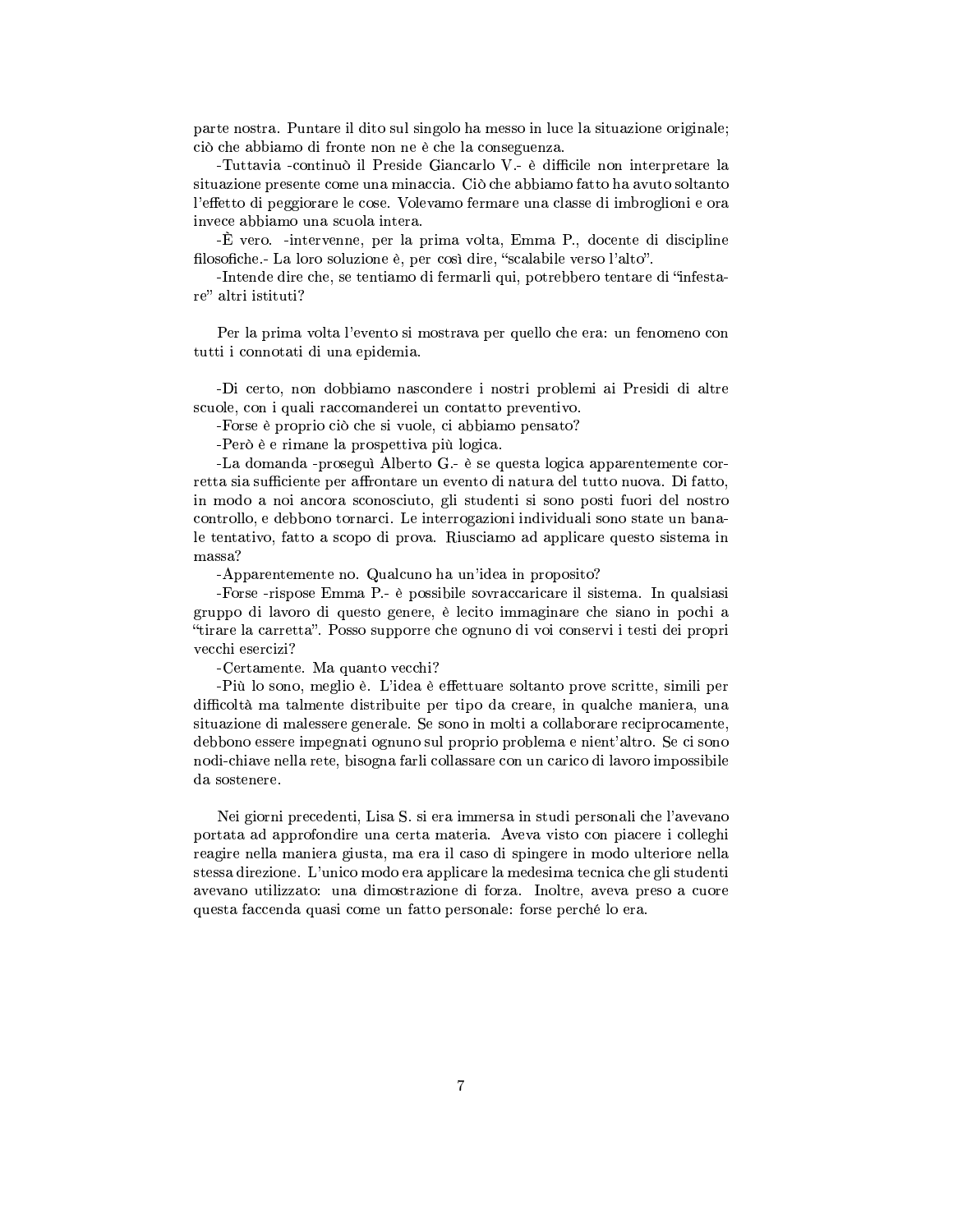parte nostra. Puntare il dito sul singolo ha messo in luce la situazione originale; ciò che abbiamo di fronte non ne è che la conseguenza.

-Tuttavia -continuò il Preside Giancarlo V.- è difficile non interpretare la situazione presente come una minaccia. Ciò che abbiamo fatto ha avuto soltanto l'effetto di peggiorare le cose. Volevamo fermare una classe di imbroglioni e ora invece abbiamo una scuola intera.

-È vero. -intervenne, per la prima volta, Emma P., docente di discipline filosofiche.-La loro soluzione è, per così dire, "scalabile verso l'alto".

-Intende dire che, se tentiamo di fermarli qui, potrebbero tentare di "infestare" altri istituti?

Per la prima volta l'evento si mostrava per quello che era: un fenomeno con tutti i connotati di una epidemia.

-Di certo, non dobbiamo nascondere i nostri problemi ai Presidi di altre scuole, con i quali raccomanderei un contatto preventivo.

-Forse è proprio ciò che si vuole, ci abbiamo pensato?

-Però è e rimane la prospettiva più logica.

-La domanda -proseguì Alberto G.- è se questa logica apparentemente corretta sia sufficiente per affrontare un evento di natura del tutto nuova. Di fatto, in modo a noi ancora sconosciuto, gli studenti si sono posti fuori del nostro controllo, e debbono tornarci. Le interrogazioni individuali sono state un banale tentativo, fatto a scopo di prova. Riusciamo ad applicare questo sistema in massa?

-Apparentemente no. Qualcuno ha un'idea in proposito?

-Forse -rispose Emma P.- è possibile sovraccaricare il sistema. In qualsiasi gruppo di lavoro di questo genere, è lecito immaginare che siano in pochi a "tirare la carretta". Posso supporre che ognuno di voi conservi i testi dei propri vecchi esercizi?

-Certamente. Ma quanto vecchi?

-Più lo sono, meglio è. L'idea è effettuare soltanto prove scritte, simili per difficoltà ma talmente distribuite per tipo da creare, in qualche maniera, una situazione di malessere generale. Se sono in molti a collaborare reciprocamente, debbono essere impegnati ognuno sul proprio problema e nient'altro. Se ci sono nodi-chiave nella rete, bisogna farli collassare con un carico di lavoro impossibile da sostenere.

Nei giorni precedenti, Lisa S. si era immersa in studi personali che l'avevano portata ad approfondire una certa materia. Aveva visto con piacere i colleghi reagire nella maniera giusta, ma era il caso di spingere in modo ulteriore nella stessa direzione. L'unico modo era applicare la medesima tecnica che gli studenti avevano utilizzato: una dimostrazione di forza. Inoltre, aveva preso a cuore questa faccenda quasi come un fatto personale: forse perché lo era.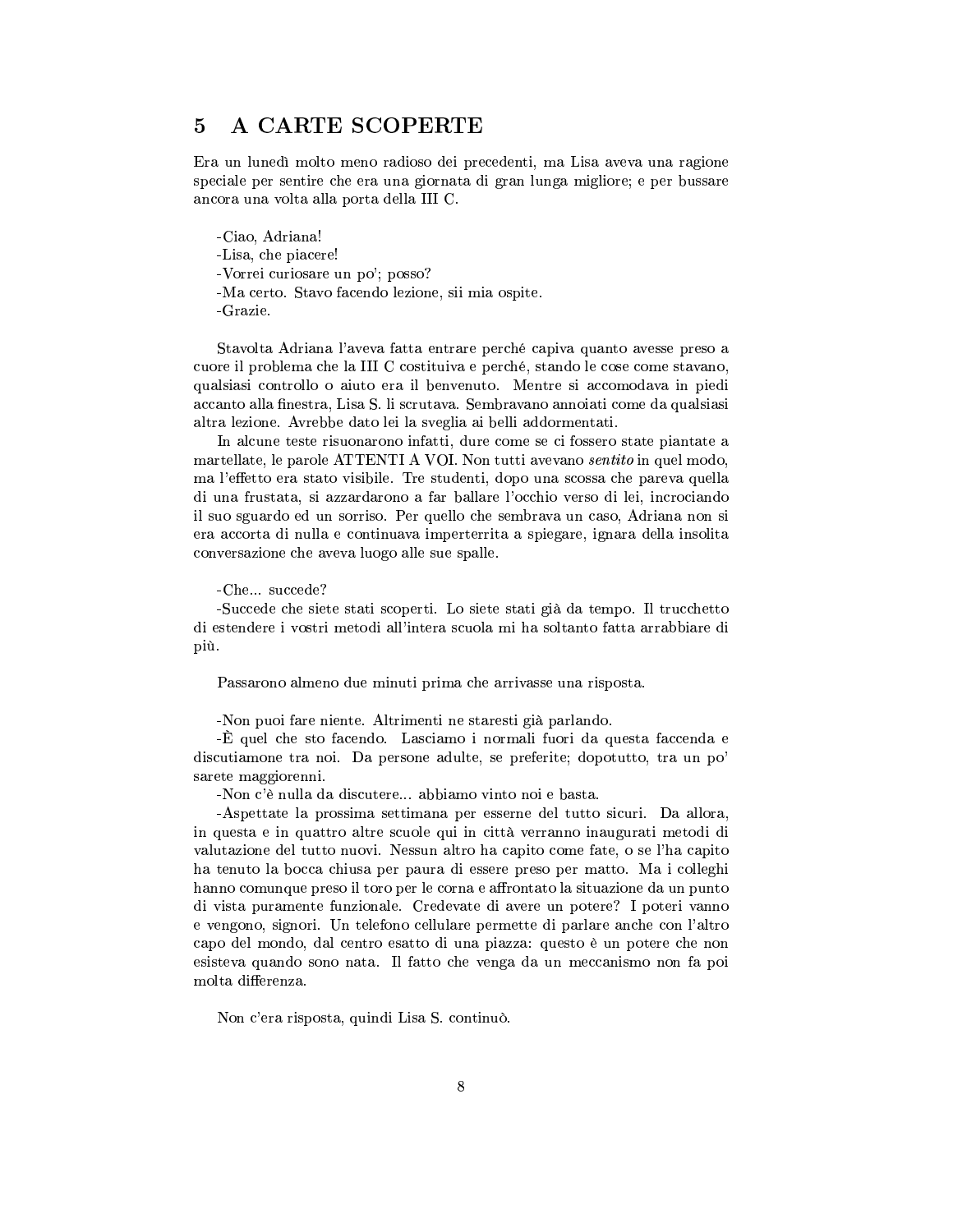#### A CARTE SCOPERTE  $\overline{5}$

Era un lunedì molto meno radioso dei precedenti, ma Lisa aveva una ragione speciale per sentire che era una giornata di gran lunga migliore; e per bussare ancora una volta alla porta della III C.

-Ciao, Adriana! -Lisa, che piacere! -Vorrei curiosare un po'; posso? -Ma certo. Stavo facendo lezione, sii mia ospite. -Grazie.

Stavolta Adriana l'aveva fatta entrare perché capiva quanto avesse preso a cuore il problema che la III C costituiva e perché, stando le cose come stavano, qualsiasi controllo o aiuto era il benvenuto. Mentre si accomodava in piedi accanto alla finestra, Lisa S. li scrutava. Sembravano annoiati come da qualsiasi altra lezione. Avrebbe dato lei la sveglia ai belli addormentati.

In alcune teste risuonarono infatti, dure come se ci fossero state piantate a martellate, le parole ATTENTI A VOI. Non tutti avevano sentito in quel modo, ma l'effetto era stato visibile. Tre studenti, dopo una scossa che pareva quella di una frustata, si azzardarono a far ballare l'occhio verso di lei, incrociando il suo sguardo ed un sorriso. Per quello che sembrava un caso, Adriana non si era accorta di nulla e continuava imperterrita a spiegare, ignara della insolita conversazione che aveva luogo alle sue spalle.

### -Che... succede?

-Succede che siete stati scoperti. Lo siete stati già da tempo. Il trucchetto di estendere i vostri metodi all'intera scuola mi ha soltanto fatta arrabbiare di più.

Passarono almeno due minuti prima che arrivasse una risposta.

-Non puoi fare niente. Altrimenti ne staresti già parlando.

-È quel che sto facendo. Lasciamo i normali fuori da questa faccenda e discutiamone tra noi. Da persone adulte, se preferite; dopotutto, tra un po' sarete maggiorenni.

-Non c'è nulla da discutere... abbiamo vinto noi e basta.

-Aspettate la prossima settimana per esserne del tutto sicuri. Da allora, in questa e in quattro altre scuole qui in città verranno inaugurati metodi di valutazione del tutto nuovi. Nessun altro ha capito come fate, o se l'ha capito ha tenuto la bocca chiusa per paura di essere preso per matto. Ma i colleghi hanno comunque preso il toro per le corna e affrontato la situazione da un punto di vista puramente funzionale. Credevate di avere un potere? I poteri vanno e vengono, signori. Un telefono cellulare permette di parlare anche con l'altro capo del mondo, dal centro esatto di una piazza: questo è un potere che non esisteva quando sono nata. Il fatto che venga da un meccanismo non fa poi molta differenza.

Non c'era risposta, quindi Lisa S. continuò.